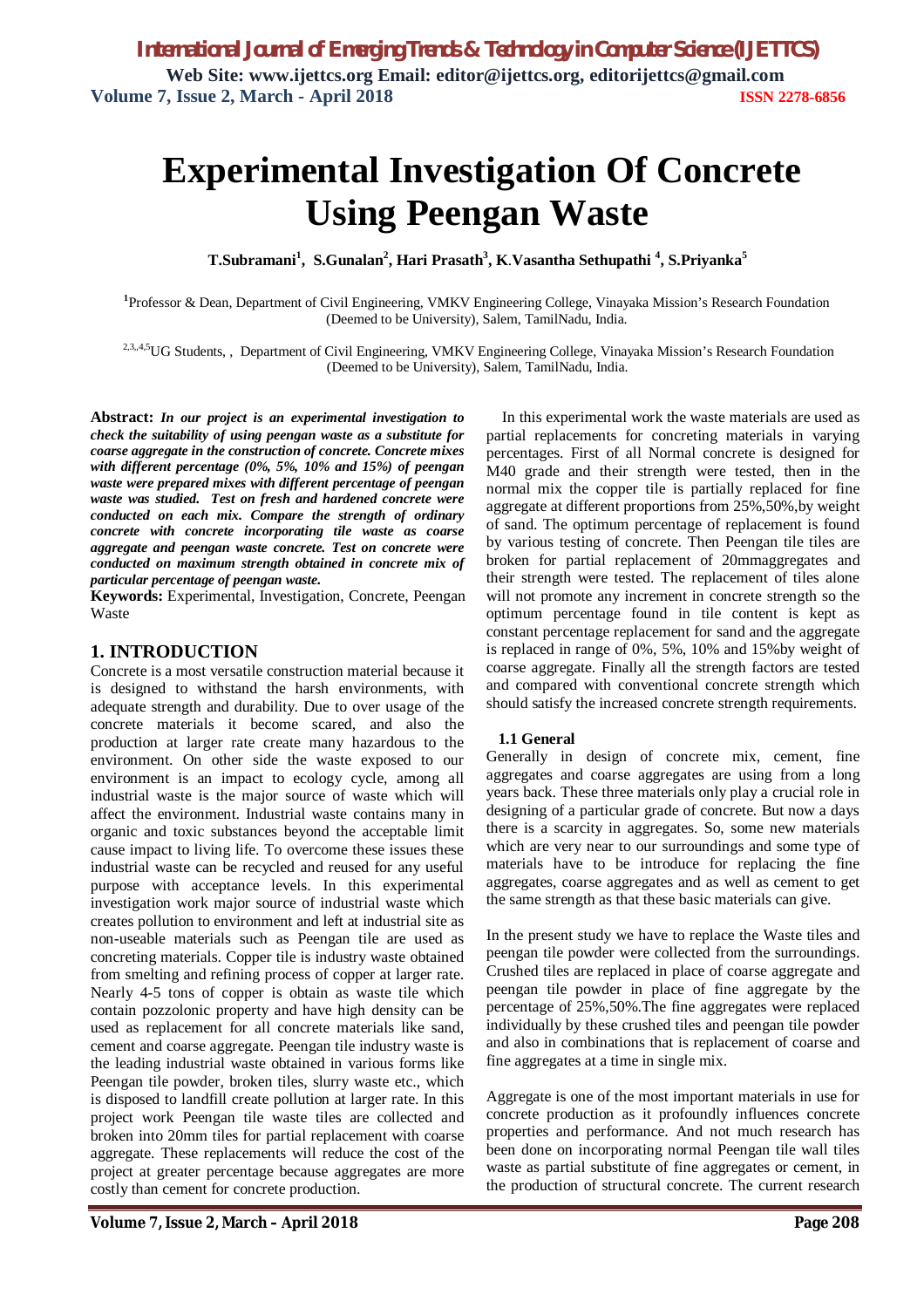# **Experimental Investigation Of Concrete Using Peengan Waste**

**T.Subramani<sup>1</sup> , S.Gunalan<sup>2</sup> , Hari Prasath<sup>3</sup> , K**.**Vasantha Sethupathi <sup>4</sup> , S.Priyanka<sup>5</sup>**

**1** Professor & Dean, Department of Civil Engineering, VMKV Engineering College, Vinayaka Mission's Research Foundation (Deemed to be University), Salem, TamilNadu, India.

<sup>2,3,,4,5</sup>UG Students,, Department of Civil Engineering, VMKV Engineering College, Vinayaka Mission's Research Foundation (Deemed to be University), Salem, TamilNadu, India.

**Abstract:** *In our project is an experimental investigation to check the suitability of using peengan waste as a substitute for coarse aggregate in the construction of concrete. Concrete mixes with different percentage (0%, 5%, 10% and 15%) of peengan waste were prepared mixes with different percentage of peengan waste was studied. Test on fresh and hardened concrete were conducted on each mix. Compare the strength of ordinary concrete with concrete incorporating tile waste as coarse aggregate and peengan waste concrete. Test on concrete were conducted on maximum strength obtained in concrete mix of particular percentage of peengan waste.*

**Keywords:** Experimental, Investigation, Concrete, Peengan Waste

#### **1. INTRODUCTION**

Concrete is a most versatile construction material because it is designed to withstand the harsh environments, with adequate strength and durability. Due to over usage of the concrete materials it become scared, and also the production at larger rate create many hazardous to the environment. On other side the waste exposed to our environment is an impact to ecology cycle, among all industrial waste is the major source of waste which will affect the environment. Industrial waste contains many in organic and toxic substances beyond the acceptable limit cause impact to living life. To overcome these issues these industrial waste can be recycled and reused for any useful purpose with acceptance levels. In this experimental investigation work major source of industrial waste which creates pollution to environment and left at industrial site as non-useable materials such as Peengan tile are used as concreting materials. Copper tile is industry waste obtained from smelting and refining process of copper at larger rate. Nearly 4-5 tons of copper is obtain as waste tile which contain pozzolonic property and have high density can be used as replacement for all concrete materials like sand, cement and coarse aggregate. Peengan tile industry waste is the leading industrial waste obtained in various forms like Peengan tile powder, broken tiles, slurry waste etc., which is disposed to landfill create pollution at larger rate. In this project work Peengan tile waste tiles are collected and broken into 20mm tiles for partial replacement with coarse aggregate. These replacements will reduce the cost of the project at greater percentage because aggregates are more costly than cement for concrete production.

In this experimental work the waste materials are used as partial replacements for concreting materials in varying percentages. First of all Normal concrete is designed for M40 grade and their strength were tested, then in the normal mix the copper tile is partially replaced for fine aggregate at different proportions from 25%,50%,by weight of sand. The optimum percentage of replacement is found by various testing of concrete. Then Peengan tile tiles are broken for partial replacement of 20mmaggregates and their strength were tested. The replacement of tiles alone will not promote any increment in concrete strength so the optimum percentage found in tile content is kept as constant percentage replacement for sand and the aggregate is replaced in range of 0%, 5%, 10% and 15%by weight of coarse aggregate. Finally all the strength factors are tested and compared with conventional concrete strength which should satisfy the increased concrete strength requirements.

#### **1.1 General**

Generally in design of concrete mix, cement, fine aggregates and coarse aggregates are using from a long years back. These three materials only play a crucial role in designing of a particular grade of concrete. But now a days there is a scarcity in aggregates. So, some new materials which are very near to our surroundings and some type of materials have to be introduce for replacing the fine aggregates, coarse aggregates and as well as cement to get the same strength as that these basic materials can give.

In the present study we have to replace the Waste tiles and peengan tile powder were collected from the surroundings. Crushed tiles are replaced in place of coarse aggregate and peengan tile powder in place of fine aggregate by the percentage of 25%,50%.The fine aggregates were replaced individually by these crushed tiles and peengan tile powder and also in combinations that is replacement of coarse and fine aggregates at a time in single mix.

Aggregate is one of the most important materials in use for concrete production as it profoundly influences concrete properties and performance. And not much research has been done on incorporating normal Peengan tile wall tiles waste as partial substitute of fine aggregates or cement, in the production of structural concrete. The current research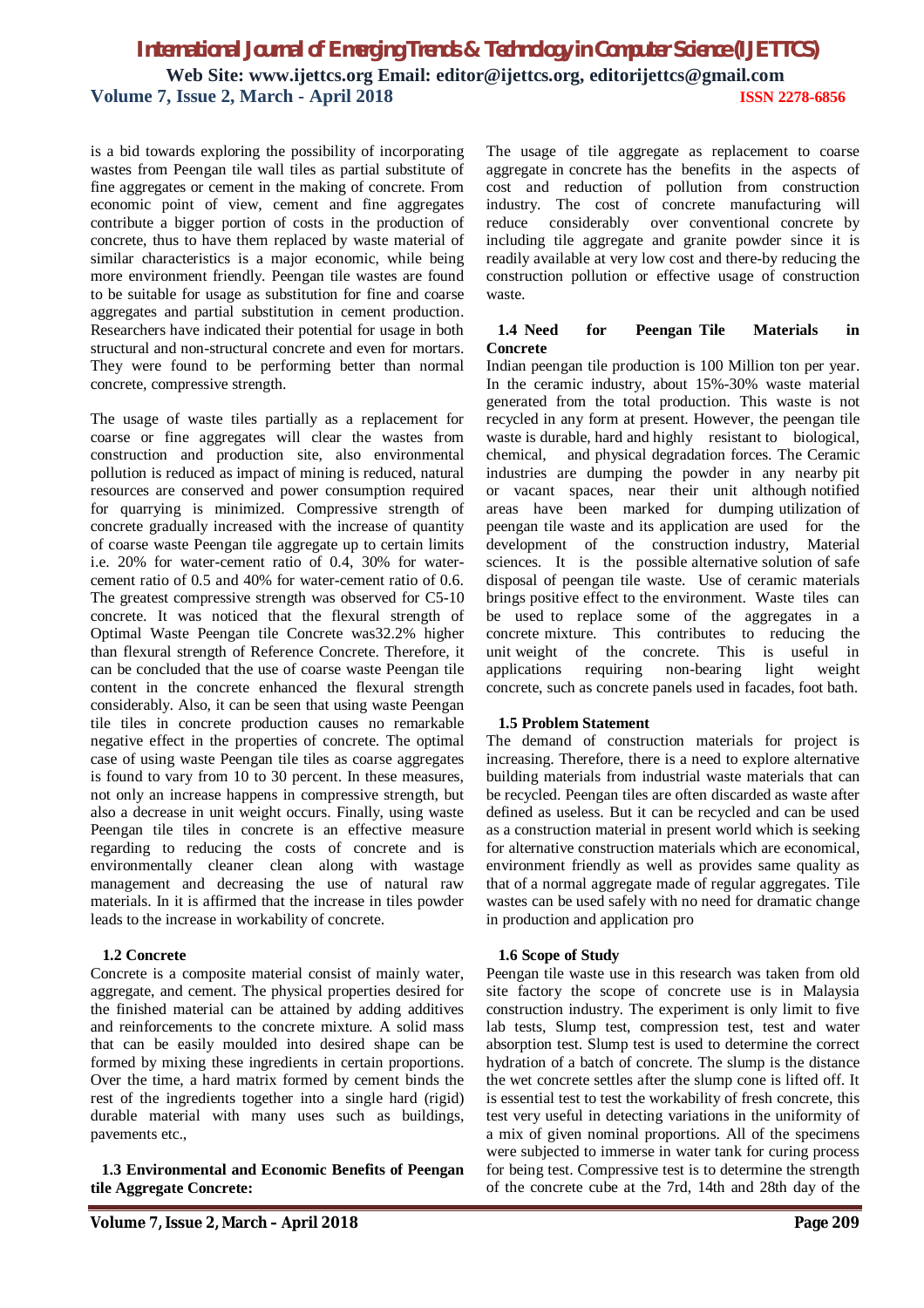is a bid towards exploring the possibility of incorporating wastes from Peengan tile wall tiles as partial substitute of fine aggregates or cement in the making of concrete. From economic point of view, cement and fine aggregates contribute a bigger portion of costs in the production of concrete, thus to have them replaced by waste material of similar characteristics is a major economic, while being more environment friendly. Peengan tile wastes are found to be suitable for usage as substitution for fine and coarse aggregates and partial substitution in cement production. Researchers have indicated their potential for usage in both structural and non-structural concrete and even for mortars. They were found to be performing better than normal concrete, compressive strength.

The usage of waste tiles partially as a replacement for coarse or fine aggregates will clear the wastes from construction and production site, also environmental pollution is reduced as impact of mining is reduced, natural resources are conserved and power consumption required for quarrying is minimized. Compressive strength of concrete gradually increased with the increase of quantity of coarse waste Peengan tile aggregate up to certain limits i.e. 20% for water-cement ratio of 0.4, 30% for watercement ratio of 0.5 and 40% for water-cement ratio of 0.6. The greatest compressive strength was observed for C5-10 concrete. It was noticed that the flexural strength of Optimal Waste Peengan tile Concrete was32.2% higher than flexural strength of Reference Concrete. Therefore, it can be concluded that the use of coarse waste Peengan tile content in the concrete enhanced the flexural strength considerably. Also, it can be seen that using waste Peengan tile tiles in concrete production causes no remarkable negative effect in the properties of concrete. The optimal case of using waste Peengan tile tiles as coarse aggregates is found to vary from 10 to 30 percent. In these measures, not only an increase happens in compressive strength, but also a decrease in unit weight occurs. Finally, using waste Peengan tile tiles in concrete is an effective measure regarding to reducing the costs of concrete and is environmentally cleaner clean along with wastage management and decreasing the use of natural raw materials. In it is affirmed that the increase in tiles powder leads to the increase in workability of concrete.

#### **1.2 Concrete**

Concrete is a composite material consist of mainly water, aggregate, and cement. The physical properties desired for the finished material can be attained by adding additives and reinforcements to the concrete mixture. A solid mass that can be easily moulded into desired shape can be formed by mixing these ingredients in certain proportions. Over the time, a hard matrix formed by cement binds the rest of the ingredients together into a single hard (rigid) durable material with many uses such as buildings, pavements etc.,

 **1.3 Environmental and Economic Benefits of Peengan tile Aggregate Concrete:**

The usage of tile aggregate as replacement to coarse aggregate in concrete has the benefits in the aspects of cost and reduction of pollution from construction industry. The cost of concrete manufacturing will reduce considerably over conventional concrete by including tile aggregate and granite powder since it is readily available at very low cost and there-by reducing the construction pollution or effective usage of construction waste.

#### **1.4 Need for Peengan Tile Materials in Concrete**

Indian peengan tile production is 100 Million ton per year. In the ceramic industry, about 15%-30% waste material generated from the total production. This waste is not recycled in any form at present. However, the peengan tile waste is durable, hard and highly resistant to biological, chemical, and physical degradation forces. The Ceramic industries are dumping the powder in any nearby pit or vacant spaces, near their unit although notified areas have been marked for dumping utilization of peengan tile waste and its application are used for the development of the construction industry, Material sciences. It is the possible alternative solution of safe disposal of peengan tile waste. Use of ceramic materials brings positive effect to the environment. Waste tiles can be used to replace some of the aggregates in a concrete mixture. This contributes to reducing the unit weight of the concrete. This is useful in applications requiring non-bearing light weight concrete, such as concrete panels used in facades, foot bath.

#### **1.5 Problem Statement**

The demand of construction materials for project is increasing. Therefore, there is a need to explore alternative building materials from industrial waste materials that can be recycled. Peengan tiles are often discarded as waste after defined as useless. But it can be recycled and can be used as a construction material in present world which is seeking for alternative construction materials which are economical, environment friendly as well as provides same quality as that of a normal aggregate made of regular aggregates. Tile wastes can be used safely with no need for dramatic change in production and application pro

#### **1.6 Scope of Study**

Peengan tile waste use in this research was taken from old site factory the scope of concrete use is in Malaysia construction industry. The experiment is only limit to five lab tests, Slump test, compression test, test and water absorption test. Slump test is used to determine the correct hydration of a batch of concrete. The slump is the distance the wet concrete settles after the slump cone is lifted off. It is essential test to test the workability of fresh concrete, this test very useful in detecting variations in the uniformity of a mix of given nominal proportions. All of the specimens were subjected to immerse in water tank for curing process for being test. Compressive test is to determine the strength of the concrete cube at the 7rd, 14th and 28th day of the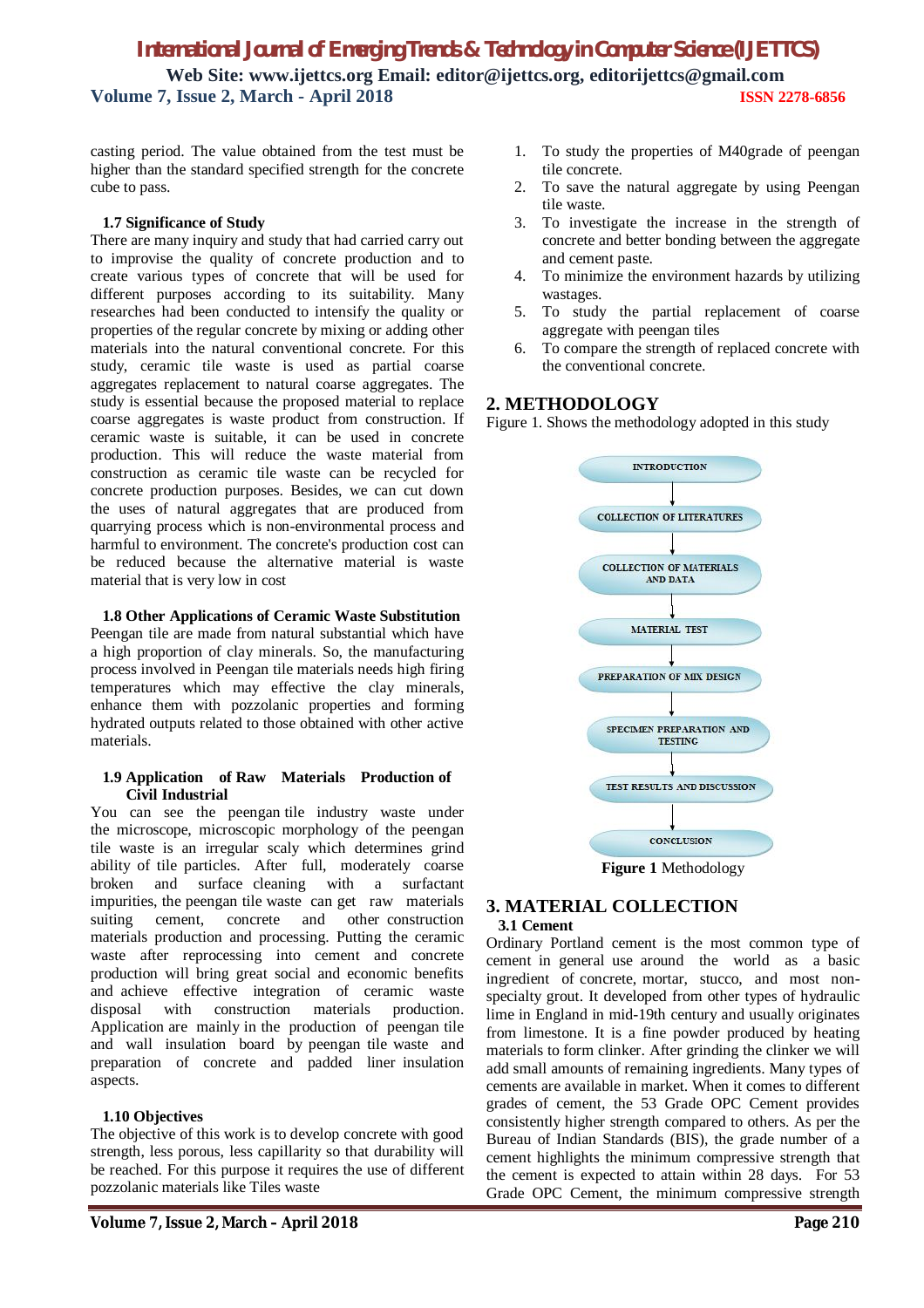casting period. The value obtained from the test must be higher than the standard specified strength for the concrete cube to pass.

#### **1.7 Significance of Study**

There are many inquiry and study that had carried carry out to improvise the quality of concrete production and to create various types of concrete that will be used for different purposes according to its suitability. Many researches had been conducted to intensify the quality or properties of the regular concrete by mixing or adding other materials into the natural conventional concrete. For this study, ceramic tile waste is used as partial coarse aggregates replacement to natural coarse aggregates. The study is essential because the proposed material to replace coarse aggregates is waste product from construction. If ceramic waste is suitable, it can be used in concrete production. This will reduce the waste material from construction as ceramic tile waste can be recycled for concrete production purposes. Besides, we can cut down the uses of natural aggregates that are produced from quarrying process which is non-environmental process and harmful to environment. The concrete's production cost can be reduced because the alternative material is waste material that is very low in cost

#### **1.8 Other Applications of Ceramic Waste Substitution**

Peengan tile are made from natural substantial which have a high proportion of clay minerals. So, the manufacturing process involved in Peengan tile materials needs high firing temperatures which may effective the clay minerals, enhance them with pozzolanic properties and forming hydrated outputs related to those obtained with other active materials.

#### **1.9 Application of Raw Materials Production of Civil Industrial**

You can see the peengan tile industry waste under the microscope, microscopic morphology of the peengan tile waste is an irregular scaly which determines grind ability of tile particles. After full, moderately coarse broken and surface cleaning with a surfactant impurities, the peengan tile waste can get raw materials suiting cement, concrete and other construction materials production and processing. Putting the ceramic waste after reprocessing into cement and concrete production will bring great social and economic benefits and achieve effective integration of ceramic waste disposal with construction materials production. Application are mainly in the production of peengan tile and wall insulation board by peengan tile waste and preparation of concrete and padded liner insulation aspects.

#### **1.10 Objectives**

The objective of this work is to develop concrete with good strength, less porous, less capillarity so that durability will be reached. For this purpose it requires the use of different pozzolanic materials like Tiles waste

- 1. To study the properties of M40grade of peengan tile concrete.
- 2. To save the natural aggregate by using Peengan tile waste.
- 3. To investigate the increase in the strength of concrete and better bonding between the aggregate and cement paste.
- 4. To minimize the environment hazards by utilizing wastages.
- 5. To study the partial replacement of coarse aggregate with peengan tiles
- 6. To compare the strength of replaced concrete with the conventional concrete.

#### **2. METHODOLOGY**

Figure 1. Shows the methodology adopted in this study



**Figure 1** Methodology

#### **3. MATERIAL COLLECTION 3.1 Cement**

Ordinary Portland cement is the most common type of cement in general use around the world as a basic ingredient of concrete, mortar, stucco, and most nonspecialty grout. It developed from other types of hydraulic lime in England in mid-19th century and usually originates from limestone. It is a fine powder produced by heating materials to form clinker. After grinding the clinker we will add small amounts of remaining ingredients. Many types of cements are available in market. When it comes to different grades of cement, the 53 Grade OPC Cement provides consistently higher strength compared to others. As per the Bureau of Indian Standards (BIS), the grade number of a cement highlights the minimum compressive strength that the cement is expected to attain within 28 days. For 53 Grade OPC Cement, the minimum compressive strength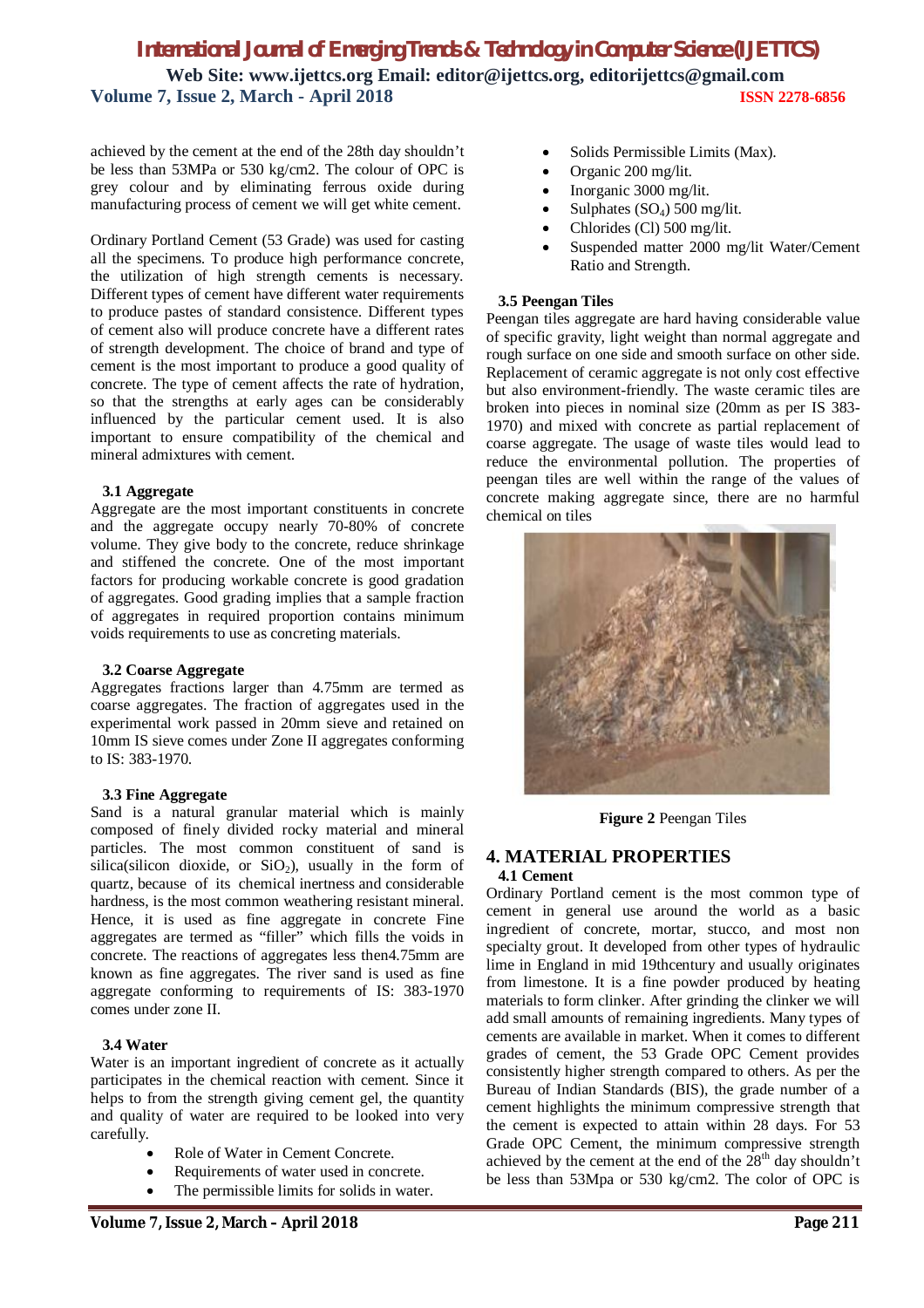achieved by the cement at the end of the 28th day shouldn't be less than 53MPa or 530 kg/cm2. The colour of OPC is grey colour and by eliminating ferrous oxide during manufacturing process of cement we will get white cement.

Ordinary Portland Cement (53 Grade) was used for casting all the specimens. To produce high performance concrete, the utilization of high strength cements is necessary. Different types of cement have different water requirements to produce pastes of standard consistence. Different types of cement also will produce concrete have a different rates of strength development. The choice of brand and type of cement is the most important to produce a good quality of concrete. The type of cement affects the rate of hydration, so that the strengths at early ages can be considerably influenced by the particular cement used. It is also important to ensure compatibility of the chemical and mineral admixtures with cement.

#### **3.1 Aggregate**

Aggregate are the most important constituents in concrete and the aggregate occupy nearly 70-80% of concrete volume. They give body to the concrete, reduce shrinkage and stiffened the concrete. One of the most important factors for producing workable concrete is good gradation of aggregates. Good grading implies that a sample fraction of aggregates in required proportion contains minimum voids requirements to use as concreting materials.

#### **3.2 Coarse Aggregate**

Aggregates fractions larger than 4.75mm are termed as coarse aggregates. The fraction of aggregates used in the experimental work passed in 20mm sieve and retained on 10mm IS sieve comes under Zone II aggregates conforming to IS: 383-1970.

#### **3.3 Fine Aggregate**

Sand is a natural granular material which is mainly composed of finely divided rocky material and mineral particles. The most common constituent of sand is silica(silicon dioxide, or  $SiO<sub>2</sub>$ ), usually in the form of quartz, because of its chemical inertness and considerable hardness, is the most common weathering resistant mineral. Hence, it is used as fine aggregate in concrete Fine aggregates are termed as "filler" which fills the voids in concrete. The reactions of aggregates less then4.75mm are known as fine aggregates. The river sand is used as fine aggregate conforming to requirements of IS: 383-1970 comes under zone II.

#### **3.4 Water**

Water is an important ingredient of concrete as it actually participates in the chemical reaction with cement. Since it helps to from the strength giving cement gel, the quantity and quality of water are required to be looked into very carefully.

- Role of Water in Cement Concrete.
- Requirements of water used in concrete.
- The permissible limits for solids in water.
- Solids Permissible Limits (Max).
- Organic 200 mg/lit.
- Inorganic 3000 mg/lit.
- Sulphates  $(SO<sub>4</sub>)$  500 mg/lit.
- Chlorides (Cl) 500 mg/lit.
- Suspended matter 2000 mg/lit Water/Cement Ratio and Strength.

#### **3.5 Peengan Tiles**

Peengan tiles aggregate are hard having considerable value of specific gravity, light weight than normal aggregate and rough surface on one side and smooth surface on other side. Replacement of ceramic aggregate is not only cost effective but also environment-friendly. The waste ceramic tiles are broken into pieces in nominal size (20mm as per IS 383- 1970) and mixed with concrete as partial replacement of coarse aggregate. The usage of waste tiles would lead to reduce the environmental pollution. The properties of peengan tiles are well within the range of the values of concrete making aggregate since, there are no harmful chemical on tiles



**Figure 2** Peengan Tiles

# **4. MATERIAL PROPERTIES**

#### **4.1 Cement**

Ordinary Portland cement is the most common type of cement in general use around the world as a basic ingredient of concrete, mortar, stucco, and most non specialty grout. It developed from other types of hydraulic lime in England in mid 19thcentury and usually originates from limestone. It is a fine powder produced by heating materials to form clinker. After grinding the clinker we will add small amounts of remaining ingredients. Many types of cements are available in market. When it comes to different grades of cement, the 53 Grade OPC Cement provides consistently higher strength compared to others. As per the Bureau of Indian Standards (BIS), the grade number of a cement highlights the minimum compressive strength that the cement is expected to attain within 28 days. For 53 Grade OPC Cement, the minimum compressive strength achieved by the cement at the end of the  $28<sup>th</sup>$  day shouldn't be less than 53Mpa or 530 kg/cm2. The color of OPC is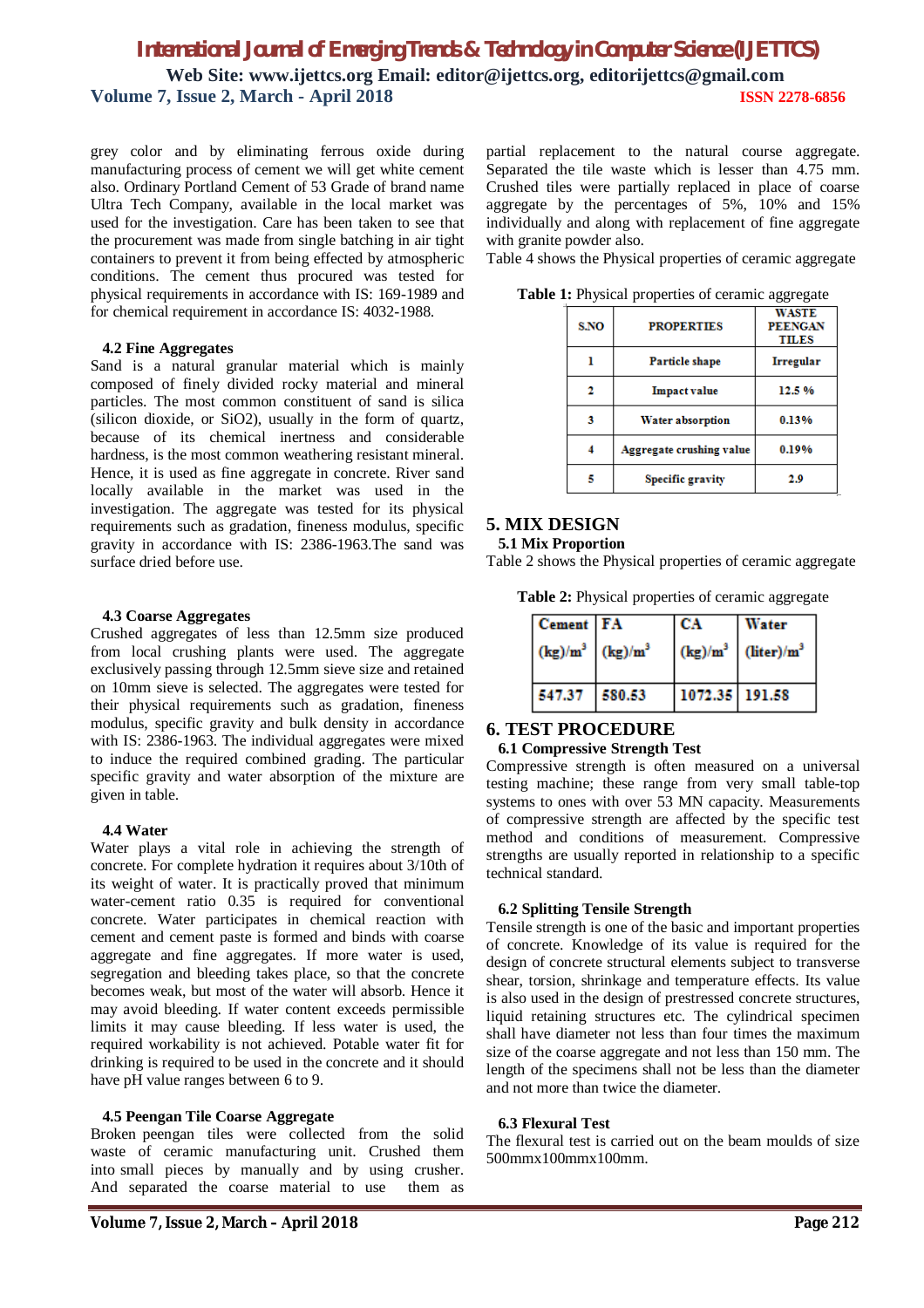grey color and by eliminating ferrous oxide during manufacturing process of cement we will get white cement also. Ordinary Portland Cement of 53 Grade of brand name Ultra Tech Company, available in the local market was used for the investigation. Care has been taken to see that the procurement was made from single batching in air tight containers to prevent it from being effected by atmospheric conditions. The cement thus procured was tested for physical requirements in accordance with IS: 169-1989 and for chemical requirement in accordance IS: 4032-1988.

#### **4.2 Fine Aggregates**

Sand is a natural granular material which is mainly composed of finely divided rocky material and mineral particles. The most common constituent of sand is silica (silicon dioxide, or SiO2), usually in the form of quartz, because of its chemical inertness and considerable hardness, is the most common weathering resistant mineral. Hence, it is used as fine aggregate in concrete. River sand locally available in the market was used in the investigation. The aggregate was tested for its physical requirements such as gradation, fineness modulus, specific gravity in accordance with IS: 2386-1963.The sand was surface dried before use.

#### **4.3 Coarse Aggregates**

Crushed aggregates of less than 12.5mm size produced from local crushing plants were used. The aggregate exclusively passing through 12.5mm sieve size and retained on 10mm sieve is selected. The aggregates were tested for their physical requirements such as gradation, fineness modulus, specific gravity and bulk density in accordance with IS: 2386-1963. The individual aggregates were mixed to induce the required combined grading. The particular specific gravity and water absorption of the mixture are given in table.

#### **4.4 Water**

Water plays a vital role in achieving the strength of concrete. For complete hydration it requires about 3/10th of its weight of water. It is practically proved that minimum water-cement ratio 0.35 is required for conventional concrete. Water participates in chemical reaction with cement and cement paste is formed and binds with coarse aggregate and fine aggregates. If more water is used, segregation and bleeding takes place, so that the concrete becomes weak, but most of the water will absorb. Hence it may avoid bleeding. If water content exceeds permissible limits it may cause bleeding. If less water is used, the required workability is not achieved. Potable water fit for drinking is required to be used in the concrete and it should have pH value ranges between 6 to 9.

#### **4.5 Peengan Tile Coarse Aggregate**

Broken peengan tiles were collected from the solid waste of ceramic manufacturing unit. Crushed them into small pieces by manually and by using crusher.<br>And separated the coarse material to use them as And separated the coarse material to use

partial replacement to the natural course aggregate. Separated the tile waste which is lesser than 4.75 mm. Crushed tiles were partially replaced in place of coarse aggregate by the percentages of 5%, 10% and 15% individually and along with replacement of fine aggregate with granite powder also.

Table 4 shows the Physical properties of ceramic aggregate

| S.NO | <b>PROPERTIES</b>        | <b>WASTE</b><br><b>PEENGAN</b><br><b>TILES</b> |  |
|------|--------------------------|------------------------------------------------|--|
|      | Particle shape           | Irregular                                      |  |
|      | <b>Impact value</b>      | 12.5%                                          |  |
|      | <b>Water absorption</b>  | 0.13%                                          |  |
|      | Aggregate crushing value | 0.19%                                          |  |
|      | <b>Specific gravity</b>  | 2.9                                            |  |

**Table 1:** Physical properties of ceramic aggregate

#### **5. MIX DESIGN**

#### **5.1 Mix Proportion**

Table 2 shows the Physical properties of ceramic aggregate

**Table 2:** Physical properties of ceramic aggregate

| <b>Cement</b> FA               | СA             | Water                             |
|--------------------------------|----------------|-----------------------------------|
| $(kg)/m^3$ (kg)/m <sup>3</sup> |                | $(kg)/m^3$ (liter)/m <sup>3</sup> |
| 547.37 580.53                  | 1072.35 191.58 |                                   |

#### **6. TEST PROCEDURE**

#### **6.1 Compressive Strength Test**

Compressive strength is often measured on a universal testing machine; these range from very small table-top systems to ones with over 53 MN capacity. Measurements of compressive strength are affected by the specific test method and conditions of measurement. Compressive strengths are usually reported in relationship to a specific technical standard.

#### **6.2 Splitting Tensile Strength**

Tensile strength is one of the basic and important properties of concrete. Knowledge of its value is required for the design of concrete structural elements subject to transverse shear, torsion, shrinkage and temperature effects. Its value is also used in the design of prestressed concrete structures, liquid retaining structures etc. The cylindrical specimen shall have diameter not less than four times the maximum size of the coarse aggregate and not less than 150 mm. The length of the specimens shall not be less than the diameter and not more than twice the diameter.

#### **6.3 Flexural Test**

The flexural test is carried out on the beam moulds of size 500mmx100mmx100mm.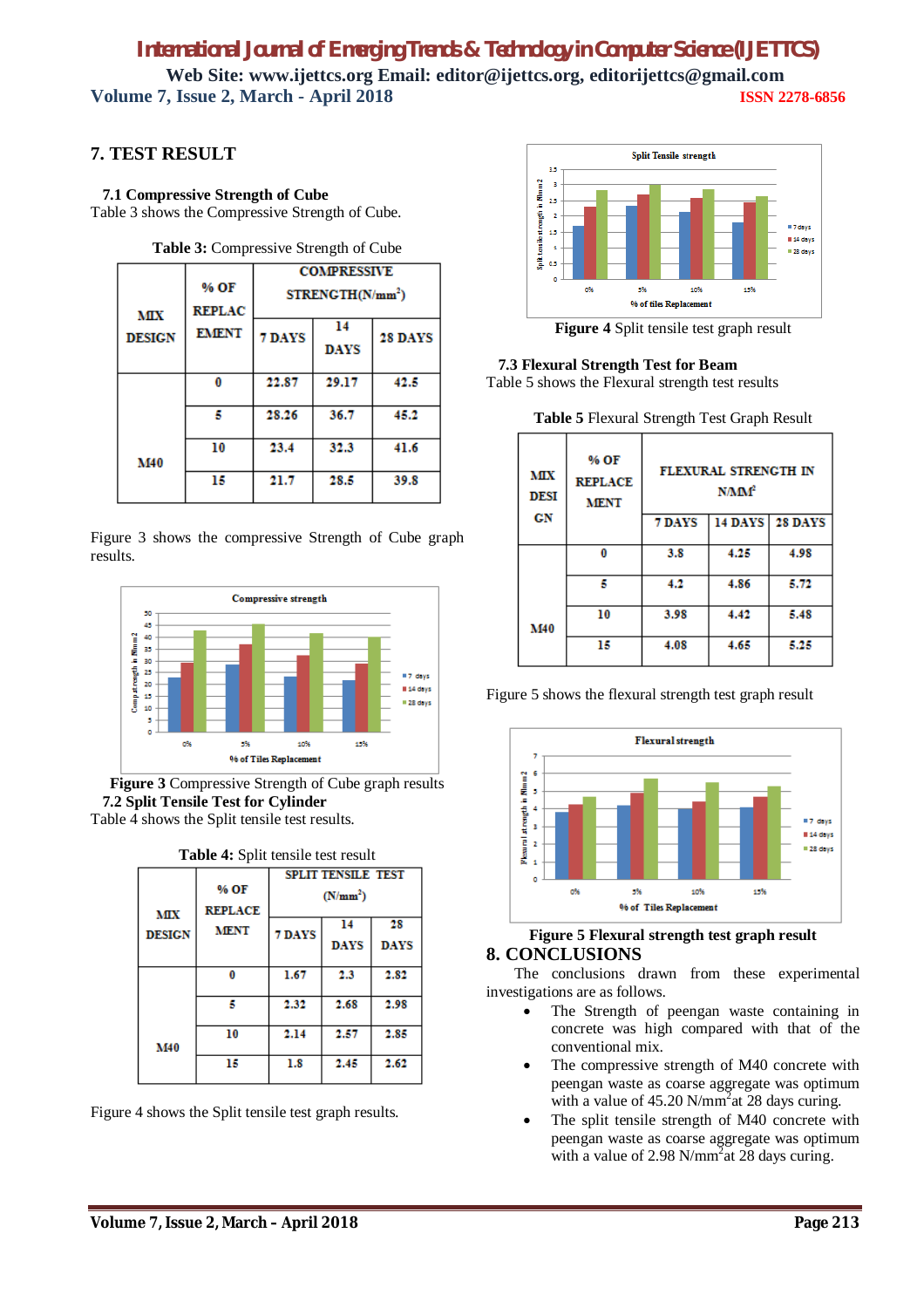### **7. TEST RESULT**

 **7.1 Compressive Strength of Cube** Table 3 shows the Compressive Strength of Cube.

| <b>Lable 5.</b> Compressive Strength of Cape |                       |                                                    |                   |         |
|----------------------------------------------|-----------------------|----------------------------------------------------|-------------------|---------|
| <b>MIX</b>                                   | % OF<br><b>REPLAC</b> | <b>COMPRESSIVE</b><br>STRENGTH(N/mm <sup>2</sup> ) |                   |         |
| <b>DESIGN</b>                                | <b>EMENT</b>          | 7 DAYS                                             | 14<br><b>DAYS</b> | 28 DAYS |
|                                              | 0                     | 22.87                                              | 29.17             | 42.5    |
|                                              | 5                     | 28.26                                              | 36.7              | 45.2    |
| M40                                          | 10                    | 23.4                                               | 32.3              | 41.6    |
|                                              | 15                    | 21.7                                               | 28.5              | 39.8    |

**Table 3:** Compressive Strength of Cube

Figure 3 shows the compressive Strength of Cube graph results.



**Figure 3** Compressive Strength of Cube graph results  **7.2 Split Tensile Test for Cylinder** Table 4 shows the Split tensile test results.

| <b>Table 4:</b> Split tensile test result |                        |                                                   |                   |                   |
|-------------------------------------------|------------------------|---------------------------------------------------|-------------------|-------------------|
| <b>MIX</b>                                | % OF<br><b>REPLACE</b> | <b>SPLIT TENSILE TEST</b><br>(N/mm <sup>2</sup> ) |                   |                   |
| <b>DESIGN</b>                             | <b>MENT</b>            | <b>7 DAYS</b>                                     | 14<br><b>DAYS</b> | 28<br><b>DAYS</b> |
|                                           | 0                      | 1.67                                              | 2.3               | 2.82              |
|                                           | 5                      | 2.32                                              | 2.68              | 2.98              |
| <b>M40</b>                                | 10                     | 2.14                                              | 2.57              | 2.85              |
|                                           | 15                     | 1.8                                               | 2.45              | 2.62              |

Figure 4 shows the Split tensile test graph results.



**Figure 4** Split tensile test graph result

 **7.3 Flexural Strength Test for Beam**

Table 5 shows the Flexural strength test results

**Table 5** Flexural Strength Test Graph Result

| <b>MIX</b><br><b>DESI</b><br>СN | % OF<br><b>REPLACE</b><br><b>MENT</b> | <b>FLEXURAL STRENGTH IN</b><br>N/MM <sup>2</sup><br>14 DAYS 28 DAYS<br>7 DAYS |      |      |
|---------------------------------|---------------------------------------|-------------------------------------------------------------------------------|------|------|
|                                 | 0                                     | 3.8                                                                           | 4.25 | 4.98 |
|                                 | к                                     | 4.2                                                                           | 4.86 | 5.72 |
| M40                             | 10                                    | 3.98                                                                          | 4.42 | 5.48 |
|                                 | 15                                    | 4.08                                                                          | 4.65 | 5.25 |

Figure 5 shows the flexural strength test graph result



#### **Figure 5 Flexural strength test graph result 8. CONCLUSIONS**

The conclusions drawn from these experimental investigations are as follows.

- The Strength of peengan waste containing in concrete was high compared with that of the conventional mix.
- The compressive strength of M40 concrete with peengan waste as coarse aggregate was optimum with a value of  $45.20$  N/mm<sup>2</sup> at 28 days curing.
- The split tensile strength of M40 concrete with peengan waste as coarse aggregate was optimum with a value of 2.98 N/mm<sup>2</sup> at 28 days curing.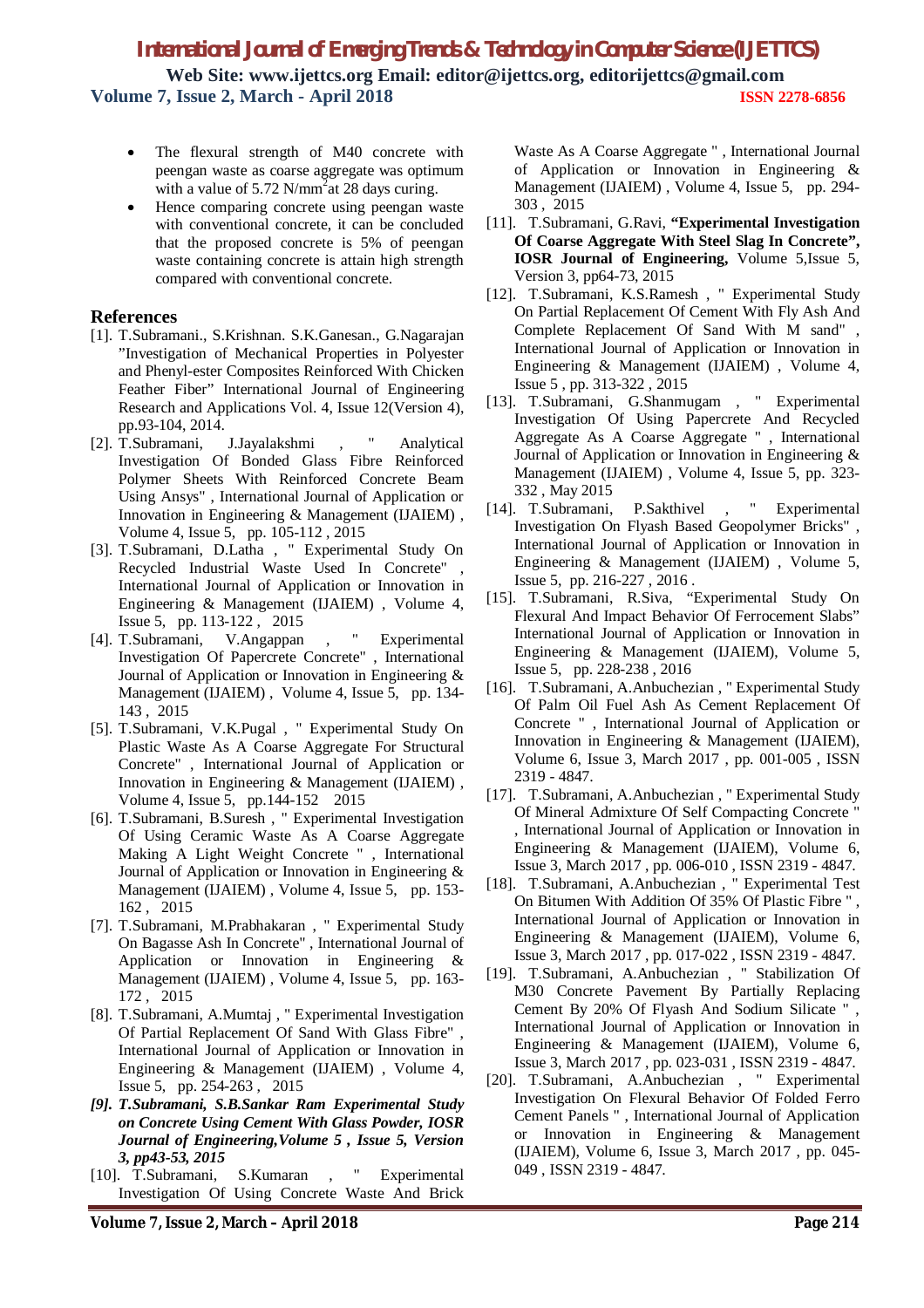- The flexural strength of M40 concrete with peengan waste as coarse aggregate was optimum with a value of  $5.72$  N/mm<sup>2</sup> at 28 days curing.
- Hence comparing concrete using peengan waste with conventional concrete, it can be concluded that the proposed concrete is 5% of peengan waste containing concrete is attain high strength compared with conventional concrete.

#### **References**

- [1]. T.Subramani., S.Krishnan. S.K.Ganesan., G.Nagarajan "Investigation of Mechanical Properties in Polyester and Phenyl-ester Composites Reinforced With Chicken Feather Fiber" International Journal of Engineering Research and Applications Vol. 4, Issue 12(Version 4), pp.93-104, 2014.
- [2]. T.Subramani, J.Jayalakshmi , " Analytical Investigation Of Bonded Glass Fibre Reinforced Polymer Sheets With Reinforced Concrete Beam Using Ansys" , International Journal of Application or Innovation in Engineering & Management (IJAIEM) , Volume 4, Issue 5, pp. 105-112 , 2015
- [3]. T.Subramani, D.Latha , " Experimental Study On Recycled Industrial Waste Used In Concrete" International Journal of Application or Innovation in Engineering & Management (IJAIEM) , Volume 4, Issue 5, pp. 113-122 , 2015
- [4]. T.Subramani, V.Angappan , " Experimental Investigation Of Papercrete Concrete" , International Journal of Application or Innovation in Engineering & Management (IJAIEM) , Volume 4, Issue 5, pp. 134- 143 , 2015
- [5]. T.Subramani, V.K.Pugal , " Experimental Study On Plastic Waste As A Coarse Aggregate For Structural Concrete" , International Journal of Application or Innovation in Engineering & Management (IJAIEM) , Volume 4, Issue 5, pp.144-152 2015
- [6]. T.Subramani, B.Suresh , " Experimental Investigation Of Using Ceramic Waste As A Coarse Aggregate Making A Light Weight Concrete " , International Journal of Application or Innovation in Engineering & Management (IJAIEM) , Volume 4, Issue 5, pp. 153- 162 , 2015
- [7]. T.Subramani, M.Prabhakaran , " Experimental Study On Bagasse Ash In Concrete" , International Journal of Application or Innovation in Engineering & Management (IJAIEM) , Volume 4, Issue 5, pp. 163- 172 , 2015
- [8]. T.Subramani, A.Mumtaj , " Experimental Investigation Of Partial Replacement Of Sand With Glass Fibre" , International Journal of Application or Innovation in Engineering & Management (IJAIEM) , Volume 4, Issue 5, pp. 254-263 , 2015
- *[9]. T.Subramani, S.B.Sankar Ram Experimental Study on Concrete Using Cement With Glass Powder, IOSR Journal of Engineering,Volume 5 , Issue 5, Version 3, pp43-53, 2015*
- [10]. T.Subramani, S.Kumaran , " Experimental Investigation Of Using Concrete Waste And Brick

Waste As A Coarse Aggregate " , International Journal of Application or Innovation in Engineering & Management (IJAIEM) , Volume 4, Issue 5, pp. 294- 303 , 2015

- [11]. T.Subramani, G.Ravi, **"Experimental Investigation Of Coarse Aggregate With Steel Slag In Concrete", IOSR Journal of Engineering,** Volume 5,Issue 5, Version 3, pp64-73, 2015
- [12]. T.Subramani, K.S.Ramesh , " Experimental Study On Partial Replacement Of Cement With Fly Ash And Complete Replacement Of Sand With M sand" , International Journal of Application or Innovation in Engineering & Management (IJAIEM) , Volume 4, Issue 5 , pp. 313-322 , 2015
- [13]. T.Subramani, G.Shanmugam , " Experimental Investigation Of Using Papercrete And Recycled Aggregate As A Coarse Aggregate " , International Journal of Application or Innovation in Engineering & Management (IJAIEM) , Volume 4, Issue 5, pp. 323- 332 , May 2015
- [14]. T.Subramani, P.Sakthivel , " Experimental Investigation On Flyash Based Geopolymer Bricks" , International Journal of Application or Innovation in Engineering & Management (IJAIEM) , Volume 5, Issue 5, pp. 216-227 , 2016 .
- [15]. T.Subramani, R.Siva, "Experimental Study On Flexural And Impact Behavior Of Ferrocement Slabs" International Journal of Application or Innovation in Engineering & Management (IJAIEM), Volume 5, Issue 5, pp. 228-238 , 2016
- [16]. T.Subramani, A.Anbuchezian , " Experimental Study Of Palm Oil Fuel Ash As Cement Replacement Of Concrete " , International Journal of Application or Innovation in Engineering & Management (IJAIEM), Volume 6, Issue 3, March 2017 , pp. 001-005 , ISSN 2319 - 4847.
- [17]. T.Subramani, A.Anbuchezian , " Experimental Study Of Mineral Admixture Of Self Compacting Concrete " , International Journal of Application or Innovation in Engineering & Management (IJAIEM), Volume 6, Issue 3, March 2017 , pp. 006-010 , ISSN 2319 - 4847.
- [18]. T.Subramani, A.Anbuchezian , " Experimental Test On Bitumen With Addition Of 35% Of Plastic Fibre " , International Journal of Application or Innovation in Engineering & Management (IJAIEM), Volume 6, Issue 3, March 2017 , pp. 017-022 , ISSN 2319 - 4847.
- [19]. T.Subramani, A.Anbuchezian , " Stabilization Of M30 Concrete Pavement By Partially Replacing Cement By 20% Of Flyash And Sodium Silicate " , International Journal of Application or Innovation in Engineering & Management (IJAIEM), Volume 6, Issue 3, March 2017 , pp. 023-031 , ISSN 2319 - 4847.
- [20]. T.Subramani, A.Anbuchezian , " Experimental Investigation On Flexural Behavior Of Folded Ferro Cement Panels " , International Journal of Application or Innovation in Engineering & Management (IJAIEM), Volume 6, Issue 3, March 2017 , pp. 045- 049 , ISSN 2319 - 4847.